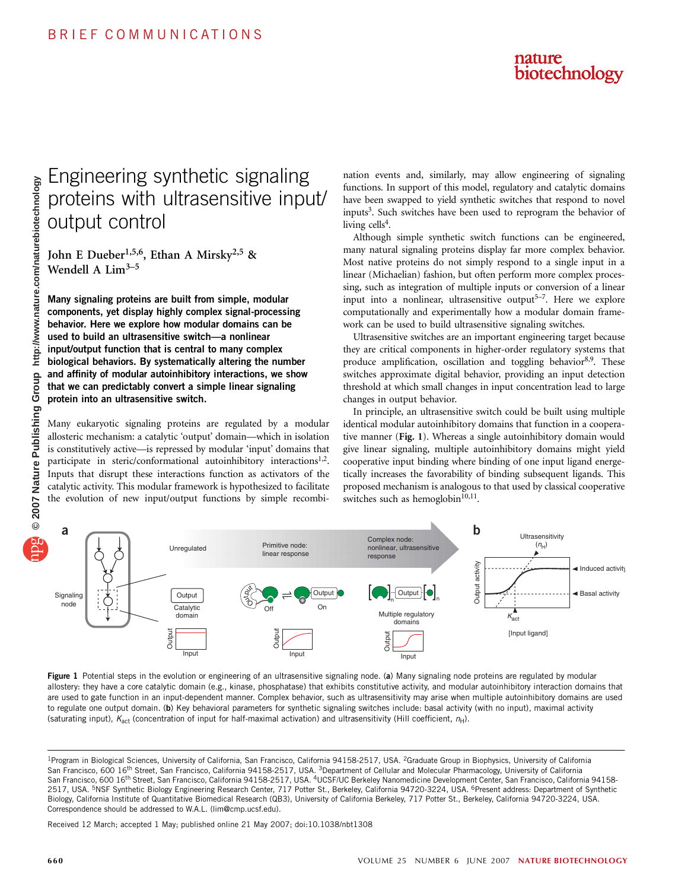

# Engineering synthetic signaling proteins with ultrasensitive input/ output control

John E Dueber<sup>1,5,6</sup>, Ethan A Mirsky<sup>2,5</sup> & Wendell A  $Lim<sup>3-5</sup>$ 

Many signaling proteins are built from simple, modular components, yet display highly complex signal-processing behavior. Here we explore how modular domains can be used to build an ultrasensitive switch—a nonlinear input/output function that is central to many complex biological behaviors. By systematically altering the number and affinity of modular autoinhibitory interactions, we show that we can predictably convert a simple linear signaling protein into an ultrasensitive switch.

Many eukaryotic signaling proteins are regulated by a modular allosteric mechanism: a catalytic 'output' domain—which in isolation is constitutively active—is repressed by modular 'input' domains that participate in steric/conformational autoinhibitory interactions<sup>1,2</sup>. Inputs that disrupt these interactions function as activators of the catalytic activity. This modular framework is hypothesized to facilitate the evolution of new input/output functions by simple recombination events and, similarly, may allow engineering of signaling functions. In support of this model, regulatory and catalytic domains have been swapped to yield synthetic switches that respond to novel inputs<sup>3</sup>. Such switches have been used to reprogram the behavior of living cells<sup>4</sup>.

Although simple synthetic switch functions can be engineered, many natural signaling proteins display far more complex behavior. Most native proteins do not simply respond to a single input in a linear (Michaelian) fashion, but often perform more complex processing, such as integration of multiple inputs or conversion of a linear input into a nonlinear, ultrasensitive output<sup>5–7</sup>. Here we explore computationally and experimentally how a modular domain framework can be used to build ultrasensitive signaling switches.

Ultrasensitive switches are an important engineering target because they are critical components in higher-order regulatory systems that produce amplification, oscillation and toggling behavior<sup>8,9</sup>. These switches approximate digital behavior, providing an input detection threshold at which small changes in input concentration lead to large changes in output behavior.

In principle, an ultrasensitive switch could be built using multiple identical modular autoinhibitory domains that function in a cooperative manner (Fig. 1). Whereas a single autoinhibitory domain would give linear signaling, multiple autoinhibitory domains might yield cooperative input binding where binding of one input ligand energetically increases the favorability of binding subsequent ligands. This proposed mechanism is analogous to that used by classical cooperative switches such as hemoglobin $10,11$ .



Figure 1 Potential steps in the evolution or engineering of an ultrasensitive signaling node. (a) Many signaling node proteins are regulated by modular allostery: they have a core catalytic domain (e.g., kinase, phosphatase) that exhibits constitutive activity, and modular autoinhibitory interaction domains that are used to gate function in an input-dependent manner. Complex behavior, such as ultrasensitivity may arise when multiple autoinhibitory domains are used to regulate one output domain. (b) Key behavioral parameters for synthetic signaling switches include: basal activity (with no input), maximal activity (saturating input),  $K_{act}$  (concentration of input for half-maximal activation) and ultrasensitivity (Hill coefficient,  $n_H$ ).

Received 12 March; accepted 1 May; published online 21 May 2007; doi:10.1038/nbt1308

<sup>&</sup>lt;sup>1</sup>Program in Biological Sciences, University of California, San Francisco, California 94158-2517, USA. <sup>2</sup>Graduate Group in Biophysics, University of California San Francisco, 600 16<sup>th</sup> Street, San Francisco, California 94158-2517, USA. <sup>3</sup>Department of Cellular and Molecular Pharmacology, University of California San Francisco, 600 16<sup>th</sup> Street, San Francisco, California 94158-2517, USA. <sup>4</sup>UCSF/UC Berkeley Nanomedicine Development Center, San Francisco, California 94158-2517, USA. <sup>5</sup>NSF Synthetic Biology Engineering Research Center, 717 Potter St., Berkeley, California 94720-3224, USA. <sup>6</sup>Present address: Department of Synthetic Biology, California Institute of Quantitative Biomedical Research (QB3), University of California Berkeley, 717 Potter St., Berkeley, California 94720-3224, USA. Correspondence should be addressed to W.A.L. (lim@cmp.ucsf.edu).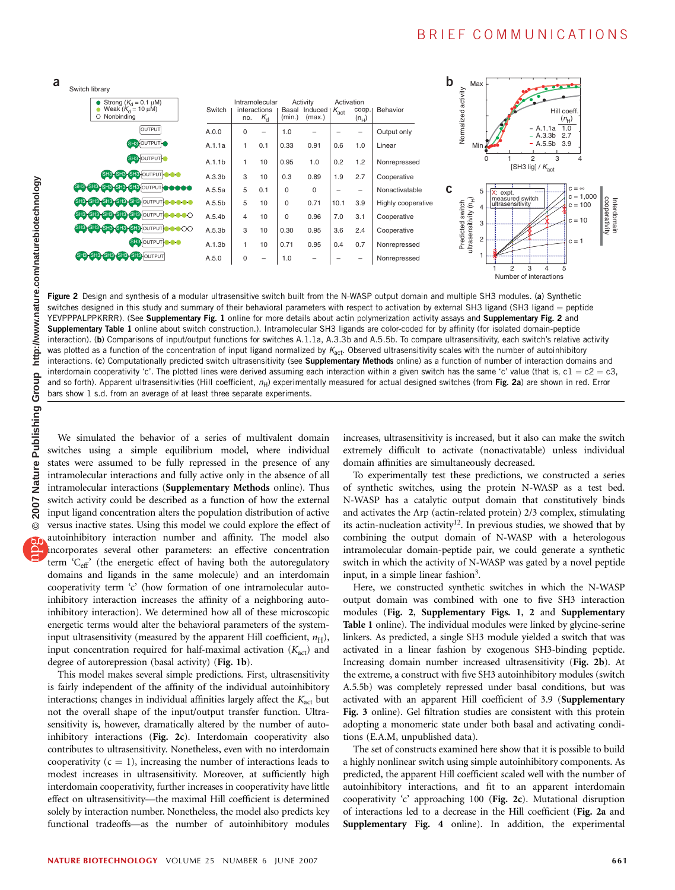### BRIEF COMMUNICATIONS



Figure 2 Design and synthesis of a modular ultrasensitive switch built from the N-WASP output domain and multiple SH3 modules. (a) Synthetic switches designed in this study and summary of their behavioral parameters with respect to activation by external SH3 ligand (SH3 ligand = peptide YEVPPPALPPKRRR). (See Supplementary Fig. 1 online for more details about actin polymerization activity assays and Supplementary Fig. 2 and Supplementary Table 1 online about switch construction.). Intramolecular SH3 ligands are color-coded for by affinity (for isolated domain-peptide interaction). (b) Comparisons of input/output functions for switches A.1.1a, A.3.3b and A.5.5b. To compare ultrasensitivity, each switch's relative activity was plotted as a function of the concentration of input ligand normalized by  $K_{\text{act}}$ . Observed ultrasensitivity scales with the number of autoinhibitory interactions. (c) Computationally predicted switch ultrasensitivity (see Supplementary Methods online) as a function of number of interaction domains and interdomain cooperativity 'c'. The plotted lines were derived assuming each interaction within a given switch has the same 'c' value (that is,  $c1 = c2 = c3$ , and so forth). Apparent ultrasensitivities (Hill coefficient,  $n_H$ ) experimentally measured for actual designed switches (from Fig. 2a) are shown in red. Error bars show 1 s.d. from an average of at least three separate experiments.

We simulated the behavior of a series of multivalent domain switches using a simple equilibrium model, where individual states were assumed to be fully repressed in the presence of any intramolecular interactions and fully active only in the absence of all intramolecular interactions (Supplementary Methods online). Thus switch activity could be described as a function of how the external input ligand concentration alters the population distribution of active versus inactive states. Using this model we could explore the effect of autoinhibitory interaction number and affinity. The model also incorporates several other parameters: an effective concentration term 'Ceff' (the energetic effect of having both the autoregulatory domains and ligands in the same molecule) and an interdomain cooperativity term 'c' (how formation of one intramolecular autoinhibitory interaction increases the affinity of a neighboring autoinhibitory interaction). We determined how all of these microscopic energetic terms would alter the behavioral parameters of the systeminput ultrasensitivity (measured by the apparent Hill coefficient,  $n_H$ ), input concentration required for half-maximal activation  $(K_{act})$  and degree of autorepression (basal activity) (Fig. 1b).

This model makes several simple predictions. First, ultrasensitivity is fairly independent of the affinity of the individual autoinhibitory interactions; changes in individual affinities largely affect the  $K_{\text{act}}$  but not the overall shape of the input/output transfer function. Ultrasensitivity is, however, dramatically altered by the number of autoinhibitory interactions (Fig. 2c). Interdomain cooperativity also contributes to ultrasensitivity. Nonetheless, even with no interdomain cooperativity  $(c = 1)$ , increasing the number of interactions leads to modest increases in ultrasensitivity. Moreover, at sufficiently high interdomain cooperativity, further increases in cooperativity have little effect on ultrasensitivity—the maximal Hill coefficient is determined solely by interaction number. Nonetheless, the model also predicts key functional tradeoffs—as the number of autoinhibitory modules increases, ultrasensitivity is increased, but it also can make the switch extremely difficult to activate (nonactivatable) unless individual domain affinities are simultaneously decreased.

To experimentally test these predictions, we constructed a series of synthetic switches, using the protein N-WASP as a test bed. N-WASP has a catalytic output domain that constitutively binds and activates the Arp (actin-related protein) 2/3 complex, stimulating its actin-nucleation activity<sup>12</sup>. In previous studies, we showed that by combining the output domain of N-WASP with a heterologous intramolecular domain-peptide pair, we could generate a synthetic switch in which the activity of N-WASP was gated by a novel peptide input, in a simple linear fashion<sup>3</sup>.

Here, we constructed synthetic switches in which the N-WASP output domain was combined with one to five SH3 interaction modules (Fig. 2, Supplementary Figs. 1, 2 and Supplementary Table 1 online). The individual modules were linked by glycine-serine linkers. As predicted, a single SH3 module yielded a switch that was activated in a linear fashion by exogenous SH3-binding peptide. Increasing domain number increased ultrasensitivity (Fig. 2b). At the extreme, a construct with five SH3 autoinhibitory modules (switch A.5.5b) was completely repressed under basal conditions, but was activated with an apparent Hill coefficient of 3.9 (Supplementary Fig. 3 online). Gel filtration studies are consistent with this protein adopting a monomeric state under both basal and activating conditions (E.A.M, unpublished data).

The set of constructs examined here show that it is possible to build a highly nonlinear switch using simple autoinhibitory components. As predicted, the apparent Hill coefficient scaled well with the number of autoinhibitory interactions, and fit to an apparent interdomain cooperativity 'c' approaching 100 (Fig. 2c). Mutational disruption of interactions led to a decrease in the Hill coefficient (Fig. 2a and Supplementary Fig. 4 online). In addition, the experimental